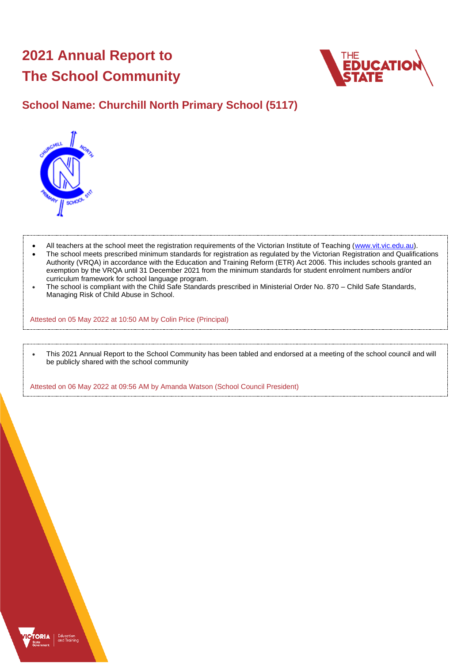# **2021 Annual Report to The School Community**



## **School Name: Churchill North Primary School (5117)**



- All teachers at the school meet the registration requirements of the Victorian Institute of Teaching [\(www.vit.vic.edu.au\)](https://www.vit.vic.edu.au/).
- The school meets prescribed minimum standards for registration as regulated by the Victorian Registration and Qualifications Authority (VRQA) in accordance with the Education and Training Reform (ETR) Act 2006. This includes schools granted an exemption by the VRQA until 31 December 2021 from the minimum standards for student enrolment numbers and/or curriculum framework for school language program.
- The school is compliant with the Child Safe Standards prescribed in Ministerial Order No. 870 Child Safe Standards, Managing Risk of Child Abuse in School.

Attested on 05 May 2022 at 10:50 AM by Colin Price (Principal)

• This 2021 Annual Report to the School Community has been tabled and endorsed at a meeting of the school council and will be publicly shared with the school community

Attested on 06 May 2022 at 09:56 AM by Amanda Watson (School Council President)

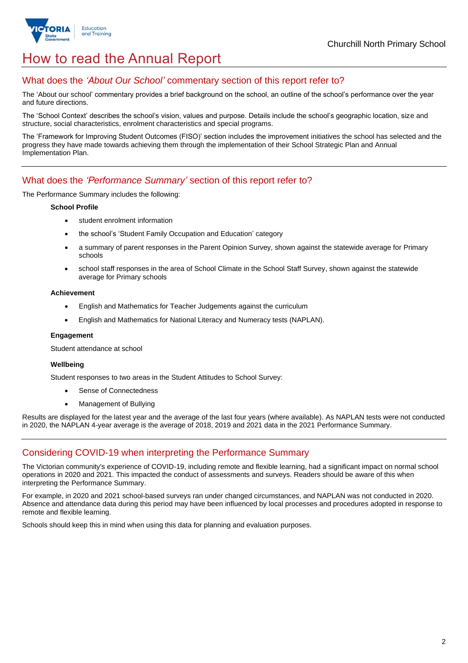

## How to read the Annual Report

### What does the *'About Our School'* commentary section of this report refer to?

The 'About our school' commentary provides a brief background on the school, an outline of the school's performance over the year and future directions.

The 'School Context' describes the school's vision, values and purpose. Details include the school's geographic location, size and structure, social characteristics, enrolment characteristics and special programs.

The 'Framework for Improving Student Outcomes (FISO)' section includes the improvement initiatives the school has selected and the progress they have made towards achieving them through the implementation of their School Strategic Plan and Annual Implementation Plan.

### What does the *'Performance Summary'* section of this report refer to?

The Performance Summary includes the following:

#### **School Profile**

- student enrolment information
- the school's 'Student Family Occupation and Education' category
- a summary of parent responses in the Parent Opinion Survey, shown against the statewide average for Primary schools
- school staff responses in the area of School Climate in the School Staff Survey, shown against the statewide average for Primary schools

#### **Achievement**

- English and Mathematics for Teacher Judgements against the curriculum
- English and Mathematics for National Literacy and Numeracy tests (NAPLAN).

#### **Engagement**

Student attendance at school

#### **Wellbeing**

Student responses to two areas in the Student Attitudes to School Survey:

- Sense of Connectedness
- Management of Bullying

Results are displayed for the latest year and the average of the last four years (where available). As NAPLAN tests were not conducted in 2020, the NAPLAN 4-year average is the average of 2018, 2019 and 2021 data in the 2021 Performance Summary.

## Considering COVID-19 when interpreting the Performance Summary

The Victorian community's experience of COVID-19, including remote and flexible learning, had a significant impact on normal school operations in 2020 and 2021. This impacted the conduct of assessments and surveys. Readers should be aware of this when interpreting the Performance Summary.

For example, in 2020 and 2021 school-based surveys ran under changed circumstances, and NAPLAN was not conducted in 2020. Absence and attendance data during this period may have been influenced by local processes and procedures adopted in response to remote and flexible learning.

Schools should keep this in mind when using this data for planning and evaluation purposes.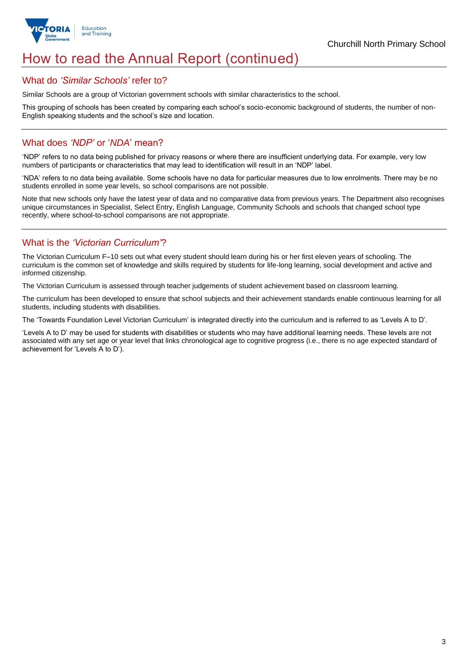

## How to read the Annual Report (continued)

#### What do *'Similar Schools'* refer to?

Similar Schools are a group of Victorian government schools with similar characteristics to the school.

This grouping of schools has been created by comparing each school's socio-economic background of students, the number of non-English speaking students and the school's size and location.

### What does *'NDP'* or '*NDA*' mean?

'NDP' refers to no data being published for privacy reasons or where there are insufficient underlying data. For example, very low numbers of participants or characteristics that may lead to identification will result in an 'NDP' label.

'NDA' refers to no data being available. Some schools have no data for particular measures due to low enrolments. There may be no students enrolled in some year levels, so school comparisons are not possible.

Note that new schools only have the latest year of data and no comparative data from previous years. The Department also recognises unique circumstances in Specialist, Select Entry, English Language, Community Schools and schools that changed school type recently, where school-to-school comparisons are not appropriate.

## What is the *'Victorian Curriculum'*?

The Victorian Curriculum F–10 sets out what every student should learn during his or her first eleven years of schooling. The curriculum is the common set of knowledge and skills required by students for life-long learning, social development and active and informed citizenship.

The Victorian Curriculum is assessed through teacher judgements of student achievement based on classroom learning.

The curriculum has been developed to ensure that school subjects and their achievement standards enable continuous learning for all students, including students with disabilities.

The 'Towards Foundation Level Victorian Curriculum' is integrated directly into the curriculum and is referred to as 'Levels A to D'.

'Levels A to D' may be used for students with disabilities or students who may have additional learning needs. These levels are not associated with any set age or year level that links chronological age to cognitive progress (i.e., there is no age expected standard of achievement for 'Levels A to D').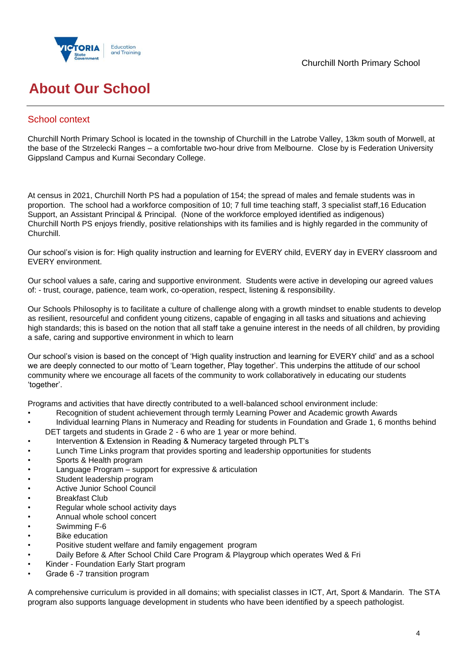



# **About Our School**

## School context

Churchill North Primary School is located in the township of Churchill in the Latrobe Valley, 13km south of Morwell, at the base of the Strzelecki Ranges – a comfortable two-hour drive from Melbourne. Close by is Federation University Gippsland Campus and Kurnai Secondary College.

At census in 2021, Churchill North PS had a population of 154; the spread of males and female students was in proportion. The school had a workforce composition of 10; 7 full time teaching staff, 3 specialist staff,16 Education Support, an Assistant Principal & Principal. (None of the workforce employed identified as indigenous) Churchill North PS enjoys friendly, positive relationships with its families and is highly regarded in the community of Churchill.

Our school's vision is for: High quality instruction and learning for EVERY child, EVERY day in EVERY classroom and EVERY environment.

Our school values a safe, caring and supportive environment. Students were active in developing our agreed values of: - trust, courage, patience, team work, co-operation, respect, listening & responsibility.

Our Schools Philosophy is to facilitate a culture of challenge along with a growth mindset to enable students to develop as resilient, resourceful and confident young citizens, capable of engaging in all tasks and situations and achieving high standards; this is based on the notion that all staff take a genuine interest in the needs of all children, by providing a safe, caring and supportive environment in which to learn

Our school's vision is based on the concept of 'High quality instruction and learning for EVERY child' and as a school we are deeply connected to our motto of 'Learn together, Play together'. This underpins the attitude of our school community where we encourage all facets of the community to work collaboratively in educating our students 'together'.

Programs and activities that have directly contributed to a well-balanced school environment include:

- Recognition of student achievement through termly Learning Power and Academic growth Awards
- Individual learning Plans in Numeracy and Reading for students in Foundation and Grade 1, 6 months behind DET targets and students in Grade 2 - 6 who are 1 year or more behind.
- Intervention & Extension in Reading & Numeracy targeted through PLT's
- Lunch Time Links program that provides sporting and leadership opportunities for students
- Sports & Health program
- Language Program support for expressive & articulation
- Student leadership program
- Active Junior School Council
- Breakfast Club
- Regular whole school activity days
- Annual whole school concert
- Swimming F-6
- **Bike education**
- Positive student welfare and family engagement program
- Daily Before & After School Child Care Program & Playgroup which operates Wed & Fri
- Kinder Foundation Early Start program
- Grade 6 -7 transition program

A comprehensive curriculum is provided in all domains; with specialist classes in ICT, Art, Sport & Mandarin. The STA program also supports language development in students who have been identified by a speech pathologist.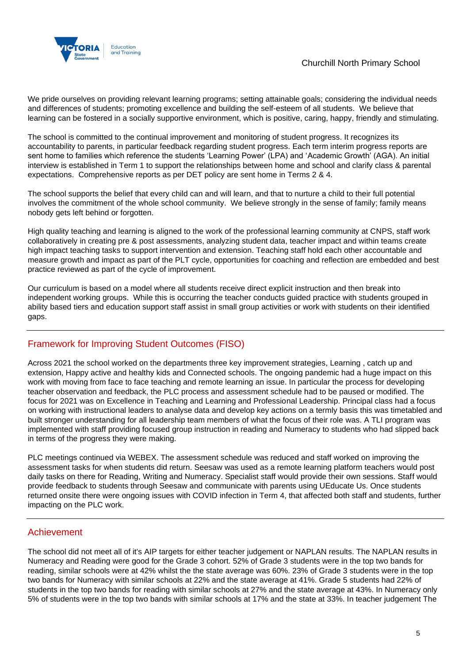

We pride ourselves on providing relevant learning programs; setting attainable goals; considering the individual needs and differences of students; promoting excellence and building the self-esteem of all students. We believe that learning can be fostered in a socially supportive environment, which is positive, caring, happy, friendly and stimulating.

The school is committed to the continual improvement and monitoring of student progress. It recognizes its accountability to parents, in particular feedback regarding student progress. Each term interim progress reports are sent home to families which reference the students 'Learning Power' (LPA) and 'Academic Growth' (AGA). An initial interview is established in Term 1 to support the relationships between home and school and clarify class & parental expectations. Comprehensive reports as per DET policy are sent home in Terms 2 & 4.

The school supports the belief that every child can and will learn, and that to nurture a child to their full potential involves the commitment of the whole school community. We believe strongly in the sense of family; family means nobody gets left behind or forgotten.

High quality teaching and learning is aligned to the work of the professional learning community at CNPS, staff work collaboratively in creating pre & post assessments, analyzing student data, teacher impact and within teams create high impact teaching tasks to support intervention and extension. Teaching staff hold each other accountable and measure growth and impact as part of the PLT cycle, opportunities for coaching and reflection are embedded and best practice reviewed as part of the cycle of improvement.

Our curriculum is based on a model where all students receive direct explicit instruction and then break into independent working groups. While this is occurring the teacher conducts guided practice with students grouped in ability based tiers and education support staff assist in small group activities or work with students on their identified gaps.

## Framework for Improving Student Outcomes (FISO)

Across 2021 the school worked on the departments three key improvement strategies, Learning , catch up and extension, Happy active and healthy kids and Connected schools. The ongoing pandemic had a huge impact on this work with moving from face to face teaching and remote learning an issue. In particular the process for developing teacher observation and feedback, the PLC process and assessment schedule had to be paused or modified. The focus for 2021 was on Excellence in Teaching and Learning and Professional Leadership. Principal class had a focus on working with instructional leaders to analyse data and develop key actions on a termly basis this was timetabled and built stronger understanding for all leadership team members of what the focus of their role was. A TLI program was implemented with staff providing focused group instruction in reading and Numeracy to students who had slipped back in terms of the progress they were making.

PLC meetings continued via WEBEX. The assessment schedule was reduced and staff worked on improving the assessment tasks for when students did return. Seesaw was used as a remote learning platform teachers would post daily tasks on there for Reading, Writing and Numeracy. Specialist staff would provide their own sessions. Staff would provide feedback to students through Seesaw and communicate with parents using UEducate Us. Once students returned onsite there were ongoing issues with COVID infection in Term 4, that affected both staff and students, further impacting on the PLC work.

### Achievement

The school did not meet all of it's AIP targets for either teacher judgement or NAPLAN results. The NAPLAN results in Numeracy and Reading were good for the Grade 3 cohort. 52% of Grade 3 students were in the top two bands for reading, similar schools were at 42% whilst the the state average was 60%. 23% of Grade 3 students were in the top two bands for Numeracy with similar schools at 22% and the state average at 41%. Grade 5 students had 22% of students in the top two bands for reading with similar schools at 27% and the state average at 43%. In Numeracy only 5% of students were in the top two bands with similar schools at 17% and the state at 33%. In teacher judgement The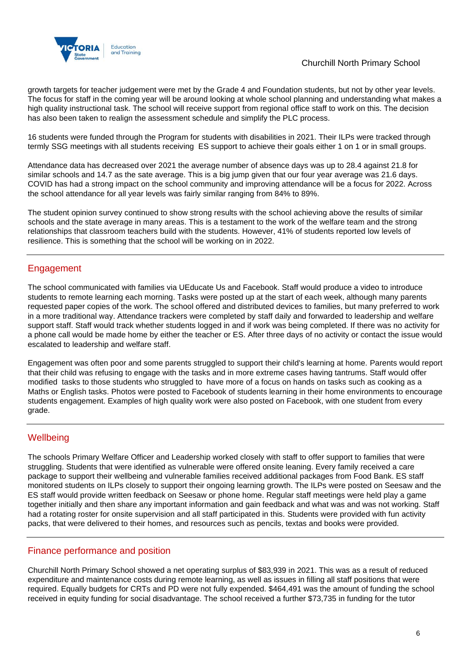

growth targets for teacher judgement were met by the Grade 4 and Foundation students, but not by other year levels. The focus for staff in the coming year will be around looking at whole school planning and understanding what makes a high quality instructional task. The school will receive support from regional office staff to work on this. The decision has also been taken to realign the assessment schedule and simplify the PLC process.

16 students were funded through the Program for students with disabilities in 2021. Their ILPs were tracked through termly SSG meetings with all students receiving ES support to achieve their goals either 1 on 1 or in small groups.

Attendance data has decreased over 2021 the average number of absence days was up to 28.4 against 21.8 for similar schools and 14.7 as the sate average. This is a big jump given that our four year average was 21.6 days. COVID has had a strong impact on the school community and improving attendance will be a focus for 2022. Across the school attendance for all year levels was fairly similar ranging from 84% to 89%.

The student opinion survey continued to show strong results with the school achieving above the results of similar schools and the state average in many areas. This is a testament to the work of the welfare team and the strong relationships that classroom teachers build with the students. However, 41% of students reported low levels of resilience. This is something that the school will be working on in 2022.

## Engagement

The school communicated with families via UEducate Us and Facebook. Staff would produce a video to introduce students to remote learning each morning. Tasks were posted up at the start of each week, although many parents requested paper copies of the work. The school offered and distributed devices to families, but many preferred to work in a more traditional way. Attendance trackers were completed by staff daily and forwarded to leadership and welfare support staff. Staff would track whether students logged in and if work was being completed. If there was no activity for a phone call would be made home by either the teacher or ES. After three days of no activity or contact the issue would escalated to leadership and welfare staff.

Engagement was often poor and some parents struggled to support their child's learning at home. Parents would report that their child was refusing to engage with the tasks and in more extreme cases having tantrums. Staff would offer modified tasks to those students who struggled to have more of a focus on hands on tasks such as cooking as a Maths or English tasks. Photos were posted to Facebook of students learning in their home environments to encourage students engagement. Examples of high quality work were also posted on Facebook, with one student from every grade.

## **Wellbeing**

The schools Primary Welfare Officer and Leadership worked closely with staff to offer support to families that were struggling. Students that were identified as vulnerable were offered onsite leaning. Every family received a care package to support their wellbeing and vulnerable families received additional packages from Food Bank. ES staff monitored students on ILPs closely to support their ongoing learning growth. The ILPs were posted on Seesaw and the ES staff would provide written feedback on Seesaw or phone home. Regular staff meetings were held play a game together initially and then share any important information and gain feedback and what was and was not working. Staff had a rotating roster for onsite supervision and all staff participated in this. Students were provided with fun activity packs, that were delivered to their homes, and resources such as pencils, textas and books were provided.

## Finance performance and position

Churchill North Primary School showed a net operating surplus of \$83,939 in 2021. This was as a result of reduced expenditure and maintenance costs during remote learning, as well as issues in filling all staff positions that were required. Equally budgets for CRTs and PD were not fully expended. \$464,491 was the amount of funding the school received in equity funding for social disadvantage. The school received a further \$73,735 in funding for the tutor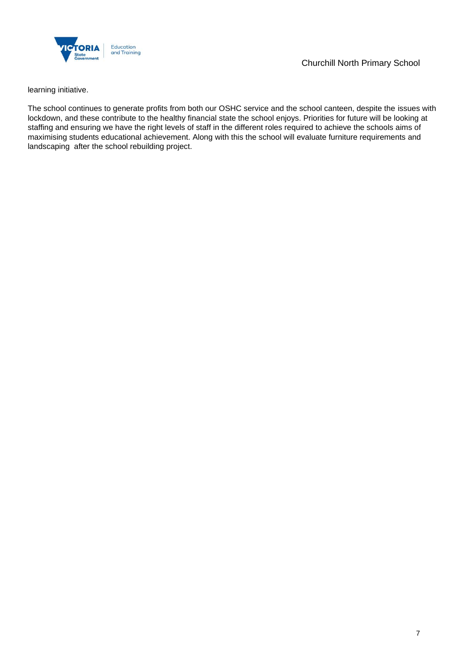

learning initiative.

The school continues to generate profits from both our OSHC service and the school canteen, despite the issues with lockdown, and these contribute to the healthy financial state the school enjoys. Priorities for future will be looking at staffing and ensuring we have the right levels of staff in the different roles required to achieve the schools aims of maximising students educational achievement. Along with this the school will evaluate furniture requirements and landscaping after the school rebuilding project.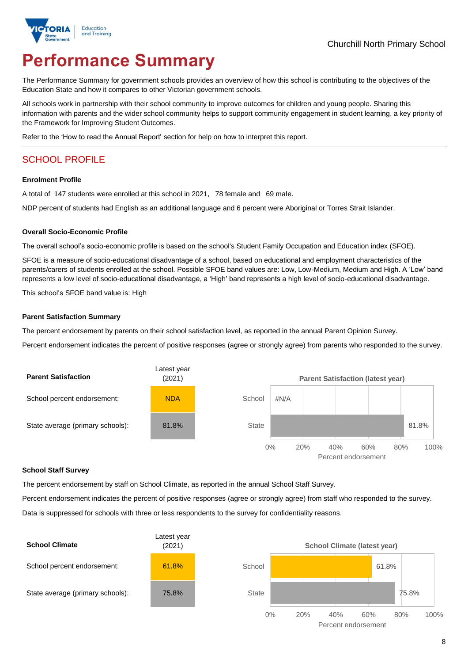

# **Performance Summary**

The Performance Summary for government schools provides an overview of how this school is contributing to the objectives of the Education State and how it compares to other Victorian government schools.

All schools work in partnership with their school community to improve outcomes for children and young people. Sharing this information with parents and the wider school community helps to support community engagement in student learning, a key priority of the Framework for Improving Student Outcomes.

Refer to the 'How to read the Annual Report' section for help on how to interpret this report.

## SCHOOL PROFILE

#### **Enrolment Profile**

A total of 147 students were enrolled at this school in 2021, 78 female and 69 male.

NDP percent of students had English as an additional language and 6 percent were Aboriginal or Torres Strait Islander.

#### **Overall Socio-Economic Profile**

The overall school's socio-economic profile is based on the school's Student Family Occupation and Education index (SFOE).

SFOE is a measure of socio-educational disadvantage of a school, based on educational and employment characteristics of the parents/carers of students enrolled at the school. Possible SFOE band values are: Low, Low-Medium, Medium and High. A 'Low' band represents a low level of socio-educational disadvantage, a 'High' band represents a high level of socio-educational disadvantage.

This school's SFOE band value is: High

#### **Parent Satisfaction Summary**

The percent endorsement by parents on their school satisfaction level, as reported in the annual Parent Opinion Survey.

Percent endorsement indicates the percent of positive responses (agree or strongly agree) from parents who responded to the survey.



#### **School Staff Survey**

The percent endorsement by staff on School Climate, as reported in the annual School Staff Survey.

Percent endorsement indicates the percent of positive responses (agree or strongly agree) from staff who responded to the survey. Data is suppressed for schools with three or less respondents to the survey for confidentiality reasons.

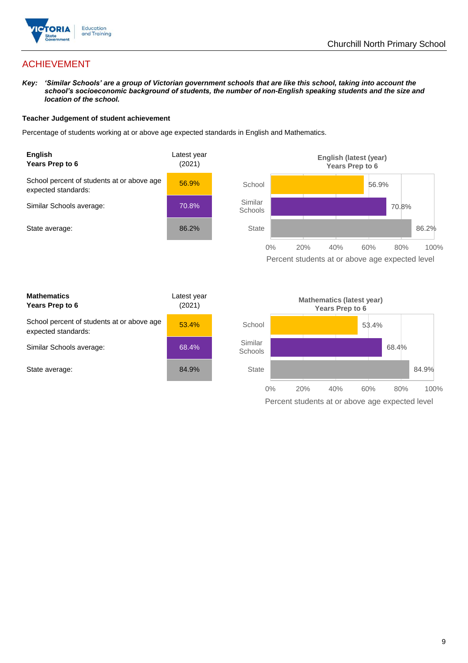

## ACHIEVEMENT

*Key: 'Similar Schools' are a group of Victorian government schools that are like this school, taking into account the school's socioeconomic background of students, the number of non-English speaking students and the size and location of the school.*

#### **Teacher Judgement of student achievement**

Percentage of students working at or above age expected standards in English and Mathematics.



Percent students at or above age expected level

| <b>Mathematics</b><br>Years Prep to 6                             | Latest year<br>(2021) |
|-------------------------------------------------------------------|-----------------------|
| School percent of students at or above age<br>expected standards: | 53.4%                 |
| Similar Schools average:                                          | 68.4%                 |
| State average:                                                    | 84.9%                 |

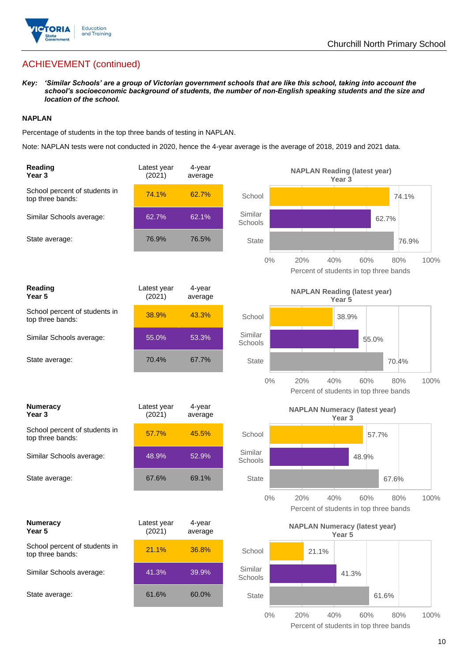

## ACHIEVEMENT (continued)

*Key: 'Similar Schools' are a group of Victorian government schools that are like this school, taking into account the school's socioeconomic background of students, the number of non-English speaking students and the size and location of the school.*

#### **NAPLAN**

Percentage of students in the top three bands of testing in NAPLAN.

Note: NAPLAN tests were not conducted in 2020, hence the 4-year average is the average of 2018, 2019 and 2021 data.

| Reading<br>Year <sub>3</sub>                      | Latest year<br>(2021) | 4-year<br>average |                    | <b>NAPLAN Reading (latest year)</b><br>Year <sub>3</sub>                   |
|---------------------------------------------------|-----------------------|-------------------|--------------------|----------------------------------------------------------------------------|
| School percent of students in<br>top three bands: | 74.1%                 | 62.7%             | School             | 74.1%                                                                      |
| Similar Schools average:                          | 62.7%                 | 62.1%             | Similar<br>Schools | 62.7%                                                                      |
| State average:                                    | 76.9%                 | 76.5%             | <b>State</b>       | 76.9%                                                                      |
|                                                   |                       |                   | $0\%$              | 60%<br>100%<br>20%<br>40%<br>80%<br>Percent of students in top three bands |
| Reading<br>Year 5                                 | Latest year<br>(2021) | 4-year<br>average |                    | <b>NAPLAN Reading (latest year)</b><br>Year 5                              |
| School percent of students in<br>top three bands: | 38.9%                 | 43.3%             | School             | 38.9%                                                                      |
| Similar Schools average:                          | 55.0%                 | 53.3%             | Similar<br>Schools | 55.0%                                                                      |
| State average:                                    | 70.4%                 | 67.7%             | <b>State</b>       | 70.4%                                                                      |
|                                                   |                       |                   | $0\%$              | 20%<br>40%<br>60%<br>80%<br>100%<br>Percent of students in top three bands |
| <b>Numeracy</b><br>Year <sub>3</sub>              | Latest year<br>(2021) | 4-year<br>average |                    | <b>NAPLAN Numeracy (latest year)</b><br>Year <sub>3</sub>                  |
| School percent of students in<br>top three bands: | 57.7%                 | 45.5%             | School             | 57.7%                                                                      |
| Similar Schools average:                          | 48.9%                 | 52.9%             | Similar<br>Schools | 48.9%                                                                      |
| State average:                                    | 67.6%                 | 69.1%             | <b>State</b>       | 67.6%                                                                      |
|                                                   |                       |                   | $0\%$              | 20%<br>40%<br>60%<br>80%<br>100%<br>Percent of students in top three bands |
| <b>Numeracy</b><br>Year 5                         | Latest year<br>(2021) | 4-year<br>average |                    | <b>NAPLAN Numeracy (latest year)</b><br>Year 5                             |
| School percent of students in<br>top three bands: | 21.1%                 | 36.8%             | School             | 21.1%                                                                      |
| Similar Schools average:                          | 41.3%                 | 39.9%             | Similar<br>Schools | 41.3%                                                                      |
|                                                   |                       |                   |                    |                                                                            |
| State average:                                    | 61.6%                 | 60.0%             | <b>State</b>       | 61.6%                                                                      |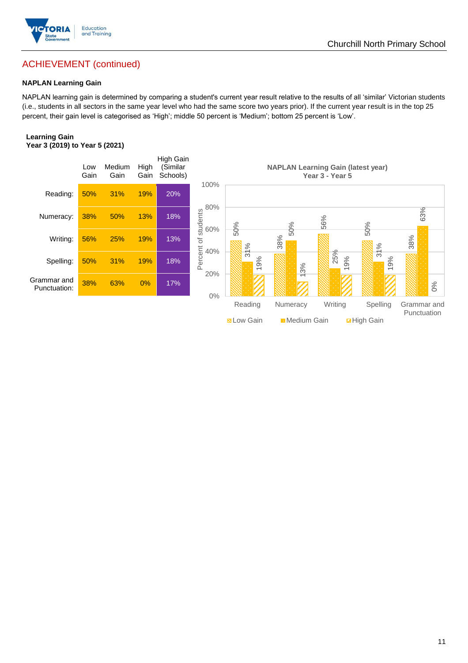

## ACHIEVEMENT (continued)

#### **NAPLAN Learning Gain**

NAPLAN learning gain is determined by comparing a student's current year result relative to the results of all 'similar' Victorian students (i.e., students in all sectors in the same year level who had the same score two years prior). If the current year result is in the top 25 percent, their gain level is categorised as 'High'; middle 50 percent is 'Medium'; bottom 25 percent is 'Low'.

#### **Learning Gain Year 3 (2019) to Year 5 (2021)**



**BLow Gain** Medium Gain **Example 10**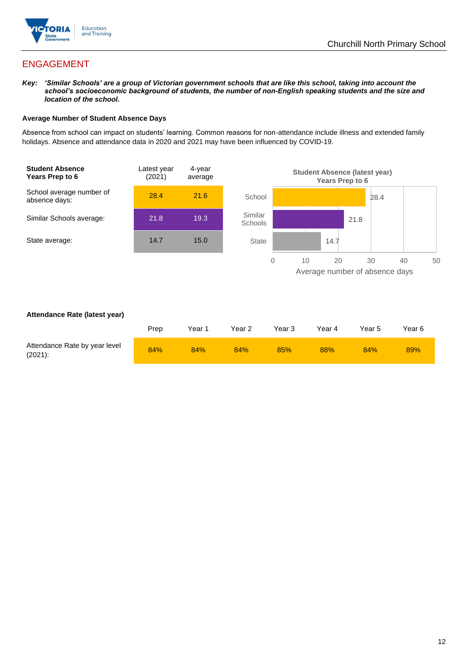

## ENGAGEMENT

*Key: 'Similar Schools' are a group of Victorian government schools that are like this school, taking into account the school's socioeconomic background of students, the number of non-English speaking students and the size and location of the school.*

#### **Average Number of Student Absence Days**

Absence from school can impact on students' learning. Common reasons for non-attendance include illness and extended family holidays. Absence and attendance data in 2020 and 2021 may have been influenced by COVID-19.



#### **Attendance Rate (latest year)**

|                                             | Prep | Year 1 | Year 2 | Year 3 | Year 4 | Year 5 | Year 6 |
|---------------------------------------------|------|--------|--------|--------|--------|--------|--------|
| Attendance Rate by year level<br>$(2021)$ : | 84%  | 84%    | 84%    | 85%    | 88%    | 84%    | 89%    |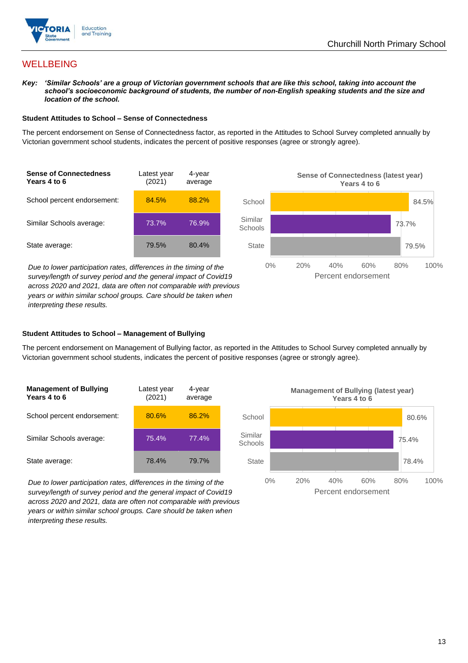

## **WELLBEING**

*Key: 'Similar Schools' are a group of Victorian government schools that are like this school, taking into account the*  school's socioeconomic background of students, the number of non-English speaking students and the size and *location of the school.*

#### **Student Attitudes to School – Sense of Connectedness**

The percent endorsement on Sense of Connectedness factor, as reported in the Attitudes to School Survey completed annually by Victorian government school students, indicates the percent of positive responses (agree or strongly agree).



*Due to lower participation rates, differences in the timing of the survey/length of survey period and the general impact of Covid19 across 2020 and 2021, data are often not comparable with previous years or within similar school groups. Care should be taken when interpreting these results.*



#### **Student Attitudes to School – Management of Bullying**

The percent endorsement on Management of Bullying factor, as reported in the Attitudes to School Survey completed annually by Victorian government school students, indicates the percent of positive responses (agree or strongly agree).

| <b>Management of Bullying</b><br>Years 4 to 6 | Latest year<br>(2021) | 4-year<br>average |  |
|-----------------------------------------------|-----------------------|-------------------|--|
| School percent endorsement:                   | 80.6%                 | 86.2%             |  |
| Similar Schools average:                      | 75.4%                 | 77.4%             |  |
| State average:                                | 78.4%                 | 79.7%             |  |

*Due to lower participation rates, differences in the timing of the survey/length of survey period and the general impact of Covid19 across 2020 and 2021, data are often not comparable with previous years or within similar school groups. Care should be taken when interpreting these results.*

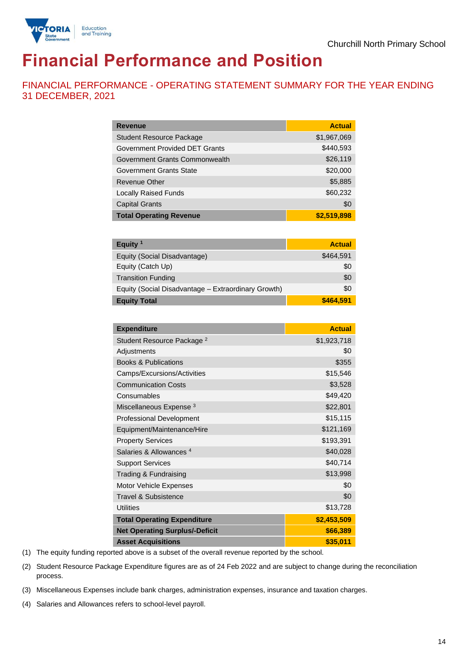

# **Financial Performance and Position**

FINANCIAL PERFORMANCE - OPERATING STATEMENT SUMMARY FOR THE YEAR ENDING 31 DECEMBER, 2021

| <b>Revenue</b>                  | <b>Actual</b> |
|---------------------------------|---------------|
| <b>Student Resource Package</b> | \$1,967,069   |
| Government Provided DET Grants  | \$440,593     |
| Government Grants Commonwealth  | \$26,119      |
| Government Grants State         | \$20,000      |
| <b>Revenue Other</b>            | \$5,885       |
| <b>Locally Raised Funds</b>     | \$60,232      |
| <b>Capital Grants</b>           | \$0           |
| <b>Total Operating Revenue</b>  | \$2,519,898   |

| Equity $1$                                          | <b>Actual</b> |
|-----------------------------------------------------|---------------|
| Equity (Social Disadvantage)                        | \$464,591     |
| Equity (Catch Up)                                   | \$0           |
| <b>Transition Funding</b>                           | \$0           |
| Equity (Social Disadvantage - Extraordinary Growth) | \$0           |
| <b>Equity Total</b>                                 | \$464,591     |

| <b>Expenditure</b>                    | <b>Actual</b> |
|---------------------------------------|---------------|
| Student Resource Package <sup>2</sup> | \$1,923,718   |
| Adjustments                           | \$0           |
| <b>Books &amp; Publications</b>       | \$355         |
| Camps/Excursions/Activities           | \$15,546      |
| <b>Communication Costs</b>            | \$3,528       |
| Consumables                           | \$49,420      |
| Miscellaneous Expense <sup>3</sup>    | \$22,801      |
| <b>Professional Development</b>       | \$15,115      |
| Equipment/Maintenance/Hire            | \$121,169     |
| <b>Property Services</b>              | \$193,391     |
| Salaries & Allowances <sup>4</sup>    | \$40,028      |
| <b>Support Services</b>               | \$40,714      |
| Trading & Fundraising                 | \$13,998      |
| Motor Vehicle Expenses                | \$0           |
| Travel & Subsistence                  | \$0           |
| <b>Utilities</b>                      | \$13,728      |
| <b>Total Operating Expenditure</b>    | \$2,453,509   |
| <b>Net Operating Surplus/-Deficit</b> | \$66,389      |
| <b>Asset Acquisitions</b>             | \$35,011      |

(1) The equity funding reported above is a subset of the overall revenue reported by the school.

(2) Student Resource Package Expenditure figures are as of 24 Feb 2022 and are subject to change during the reconciliation process.

(3) Miscellaneous Expenses include bank charges, administration expenses, insurance and taxation charges.

(4) Salaries and Allowances refers to school-level payroll.